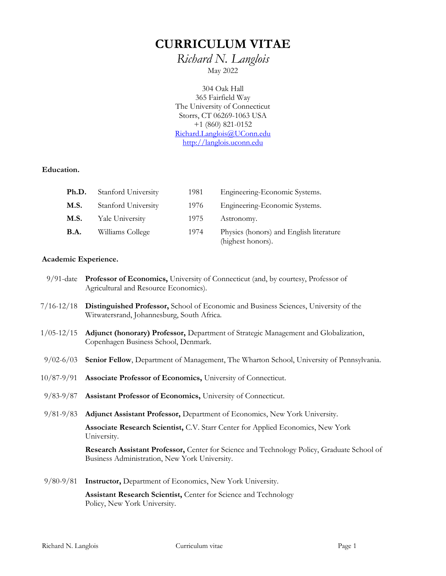# **CURRICULUM VITAE**

*Richard N. Langlois* May 2022

304 Oak Hall 365 Fairfield Way The University of Connecticut Storrs, CT 06269-1063 USA +1 (860) 821-0152 [Richard.Langlois@UConn.edu](mailto:Richard.Langlois@UConn.edu) [http://langlois.uconn.edu](http://langlois.uconn.edu/)

#### **Education.**

| Ph.D.       | Stanford University | 1981 | Engineering-Economic Systems.                                |
|-------------|---------------------|------|--------------------------------------------------------------|
| <b>M.S.</b> | Stanford University | 1976 | Engineering-Economic Systems.                                |
| M.S.        | Yale University     | 1975 | Astronomy.                                                   |
| <b>B.A.</b> | Williams College    | 1974 | Physics (honors) and English literature<br>(highest honors). |

## **Academic Experience.**

|                | 9/91-date Professor of Economics, University of Connecticut (and, by courtesy, Professor of<br>Agricultural and Resource Economics).        |  |  |
|----------------|---------------------------------------------------------------------------------------------------------------------------------------------|--|--|
| $7/16 - 12/18$ | Distinguished Professor, School of Economic and Business Sciences, University of the<br>Witwatersrand, Johannesburg, South Africa.          |  |  |
| $1/05 - 12/15$ | Adjunct (honorary) Professor, Department of Strategic Management and Globalization,<br>Copenhagen Business School, Denmark.                 |  |  |
| $9/02 - 6/03$  | Senior Fellow, Department of Management, The Wharton School, University of Pennsylvania.                                                    |  |  |
| $10/87 - 9/91$ | Associate Professor of Economics, University of Connecticut.                                                                                |  |  |
| $9/83 - 9/87$  | Assistant Professor of Economics, University of Connecticut.                                                                                |  |  |
| $9/81 - 9/83$  | Adjunct Assistant Professor, Department of Economics, New York University.                                                                  |  |  |
|                | Associate Research Scientist, C.V. Starr Center for Applied Economics, New York<br>University.                                              |  |  |
|                | Research Assistant Professor, Center for Science and Technology Policy, Graduate School of<br>Business Administration, New York University. |  |  |
| $9/80 - 9/81$  | Instructor, Department of Economics, New York University.                                                                                   |  |  |
|                | Assistant Research Scientist, Center for Science and Technology<br>Policy, New York University.                                             |  |  |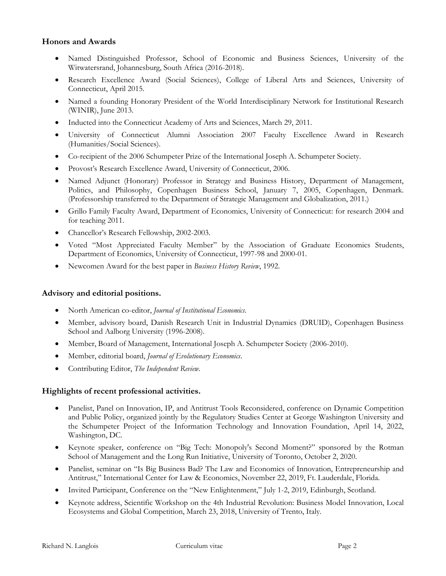### **Honors and Awards**

- Named Distinguished Professor, School of Economic and Business Sciences, University of the Witwatersrand, Johannesburg, South Africa (2016-2018).
- Research Excellence Award (Social Sciences), College of Liberal Arts and Sciences, University of Connecticut, April 2015.
- Named a founding Honorary President of the World Interdisciplinary Network for Institutional Research (WINIR), June 2013.
- Inducted into the [Connecticut Academy of Arts and Sciences,](http://www.yale.edu/caas/) March 29, 2011.
- University of Connecticut Alumni Association 2007 Faculty Excellence Award in Research (Humanities/Social Sciences).
- Co-recipient of the 2006 Schumpeter Prize of the International Joseph A. Schumpeter Society.
- Provost's Research Excellence Award, University of Connecticut, 2006.
- Named Adjunct (Honorary) Professor in Strategy and Business History, Department of Management, Politics, and Philosophy, Copenhagen Business School, January 7, 2005, Copenhagen, Denmark. (Professorship transferred to the Department of Strategic Management and Globalization, 2011.)
- Grillo Family Faculty Award, Department of Economics, University of Connecticut: for research 2004 and for teaching 2011.
- Chancellor's Research Fellowship, 2002-2003.
- Voted "Most Appreciated Faculty Member" by the Association of Graduate Economics Students, Department of Economics, University of Connecticut, 1997-98 and 2000-01.
- Newcomen Award for the best paper in *Business History Review*, 1992.

#### **Advisory and editorial positions.**

- North American co-editor, *Journal of Institutional Economics*.
- Member, advisory board, Danish Research Unit in Industrial Dynamics (DRUID), Copenhagen Business School and Aalborg University (1996-2008).
- Member, Board of Management, [International Joseph A. Schumpeter Society](http://www.iss-evec.de/) (2006-2010).
- Member, editorial board, *Journal of Evolutionary Economics*.
- Contributing Editor, *The Independent Review.*

#### **Highlights of recent professional activities.**

- Panelist, [Panel on Innovation, IP, and Antitrust Tools Reconsidered,](https://www.youtube.com/watch?v=zX9E5O-a_Zw&t=19728s) conference on Dynamic Competition and Public Policy, organized jointly by the Regulatory Studies Center at George Washington University and the [Schumpeter Project](https://itif.org/about-itif-schumpeter-project-competition-policy-innovation-economy) of the Information Technology and Innovation Foundation, April 14, 2022, Washington, DC.
- Keynote speaker, conference on "Big Tech: Monopoly's Second Moment?" sponsored by the Rotman School of Management and the Long Run Initiative, University of Toronto, October 2, 2020.
- Panelist, seminar on "Is Big Business Bad? The Law and Economics of Innovation, Entrepreneurship and Antitrust," International Center for Law & Economics, November 22, 2019, Ft. Lauderdale, Florida.
- Invited Participant, Conference on the "[New Enlightenment](https://www.panmure2019.com/major-themes)," July 1-2, 2019, Edinburgh, Scotland.
- Keynote address, Scientific Workshop on the 4th Industrial Revolution: Business Model Innovation, Local Ecosystems and Global Competition, March 23, 2018, University of Trento, Italy.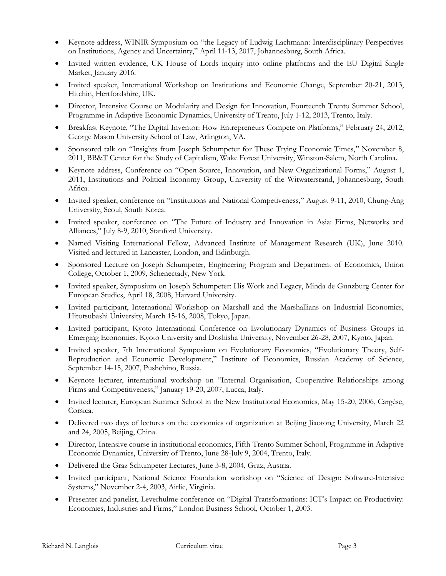- Keynote address, WINIR Symposium on "the Legacy of Ludwig Lachmann: Interdisciplinary Perspectives on Institutions, Agency and Uncertainty," April 11-13, 2017, Johannesburg, South Africa.
- Invited written evidence, UK House of Lords inquiry into [online platforms and the EU Digital Single](http://www.parliament.uk/business/committees/committees-a-z/lords-select/eu-internal-market-subcommittee/inquiries/parliament-2015/online-platforms/)  [Market,](http://www.parliament.uk/business/committees/committees-a-z/lords-select/eu-internal-market-subcommittee/inquiries/parliament-2015/online-platforms/) January 2016.
- Invited speaker, International Workshop on Institutions and Economic Change, September 20-21, 2013, Hitchin, Hertfordshire, UK.
- Director, Intensive Course on Modularity and Design for Innovation, Fourteenth Trento Summer School, Programme in Adaptive Economic Dynamics, University of Trento, July 1-12, 2013, Trento, Italy.
- Breakfast Keynote, "The Digital Inventor: How Entrepreneurs Compete on Platforms," February 24, 2012, George Mason University School of Law, Arlington, VA.
- Sponsored talk on "Insights from Joseph Schumpeter for These Trying Economic Times," November 8, 2011, BB&T Center for the Study of Capitalism, Wake Forest University, Winston-Salem, North Carolina.
- Keynote address, Conference on "Open Source, Innovation, and New Organizational Forms," August 1, 2011, Institutions and Political Economy Group, University of the Witwatersrand, Johannesburg, South Africa.
- Invited speaker, conference on "Institutions and National Competiveness," August 9-11, 2010, Chung-Ang University, Seoul, South Korea.
- Invited speaker, conference on "The Future of Industry and Innovation in Asia: Firms, Networks and Alliances," July 8-9, 2010, Stanford University.
- Named [Visiting International Fellow,](http://www.aimresearch.org/index.php?page=alias-28) Advanced Institute of Management Research (UK), June 2010. Visited and lectured in Lancaster, London, and Edinburgh.
- Sponsored Lecture on Joseph Schumpeter, Engineering Program and Department of Economics, Union College, October 1, 2009, Schenectady, New York.
- Invited speaker, Symposium on Joseph Schumpeter: His Work and Legacy, Minda de Gunzburg Center for European Studies, April 18, 2008, Harvard University.
- Invited participant, International Workshop on Marshall and the Marshallians on Industrial Economics, Hitotsubashi University, March 15-16, 2008, Tokyo, Japan.
- Invited participant, Kyoto International Conference on Evolutionary Dynamics of Business Groups in Emerging Economies, Kyoto University and Doshisha University, November 26-28, 2007, Kyoto, Japan.
- Invited speaker, 7th International Symposium on Evolutionary Economics, "Evolutionary Theory, Self-Reproduction and Economic Development," Institute of Economics, Russian Academy of Science, September 14-15, 2007, Pushchino, Russia.
- Keynote lecturer, international workshop on "Internal Organisation, Cooperative Relationships among Firms and Competitiveness," January 19-20, 2007, Lucca, Italy.
- Invited lecturer, European Summer School in the New Institutional Economics, May 15-20, 2006, Cargèse, Corsica.
- Delivered two days of lectures on the economics of organization at Beijing Jiaotong University, March 22 and 24, 2005, Beijing, China.
- Director, Intensive course in institutional economics, Fifth Trento Summer School, Programme in Adaptive Economic Dynamics, University of Trento, June 28-July 9, 2004, Trento, Italy.
- Delivered the Graz Schumpeter Lectures, June 3-8, 2004, Graz, Austria.
- Invited participant, National Science Foundation workshop on "Science of Design: Software-Intensive Systems," November 2-4, 2003, Airlie, Virginia.
- Presenter and panelist, Leverhulme conference on "Digital Transformations: ICT's Impact on Productivity: Economies, Industries and Firms," London Business School, October 1, 2003.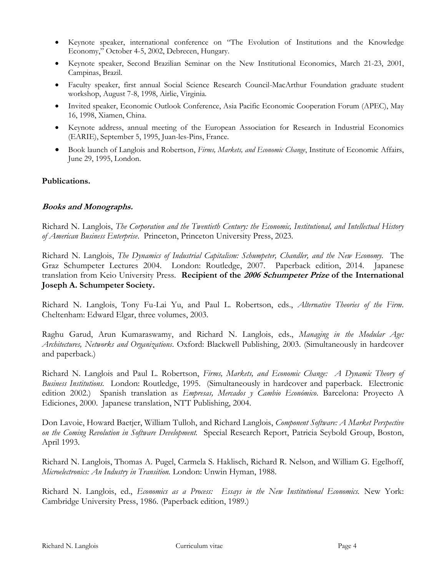- Keynote speaker, international conference on "The Evolution of Institutions and the Knowledge Economy," October 4-5, 2002, Debrecen, Hungary.
- Keynote speaker, Second Brazilian Seminar on the New Institutional Economics, March 21-23, 2001, Campinas, Brazil.
- Faculty speaker, first annual Social Science Research Council-MacArthur Foundation graduate student workshop, August 7-8, 1998, Airlie, Virginia.
- Invited speaker, Economic Outlook Conference, Asia Pacific Economic Cooperation Forum (APEC), May 16, 1998, Xiamen, China.
- Keynote address, annual meeting of the European Association for Research in Industrial Economics (EARIE), September 5, 1995, Juan-les-Pins, France.
- Book launch of Langlois and Robertson, *Firms, Markets, and Economic Change*, Institute of Economic Affairs, June 29, 1995, London.

### **Publications.**

### **Books and Monographs.**

Richard N. Langlois, *The Corporation and the Twentieth Century: the Economic, Institutional, and Intellectual History of American Business Enterprise*. Princeton, Princeton University Press, 2023.

Richard N. Langlois, *The Dynamics of Industrial Capitalism: Schumpeter, Chandler, and the New Economy.* The Graz Schumpeter Lectures 2004. London: Routledge, 2007. Paperback edition, 2014. Japanese translation from Keio University Press. **Recipient of the [2006 Schumpeter Prize](http://www.iss-evec.de/schumpeter_prize.htm) of the International Joseph A. Schumpeter Society.**

Richard N. Langlois, Tony Fu-Lai Yu, and Paul L. Robertson, eds., *Alternative Theories of the Firm*. Cheltenham: Edward Elgar, three volumes, 2003.

Raghu Garud, Arun Kumaraswamy, and Richard N. Langlois, eds., *Managing in the Modular Age: Architectures, Networks and Organizations*. Oxford: Blackwell Publishing, 2003. (Simultaneously in hardcover and paperback.)

Richard N. Langlois and Paul L. Robertson, *Firms, Markets, and Economic Change: A Dynamic Theory of Business Institutions.* London: Routledge, 1995. (Simultaneously in hardcover and paperback. Electronic edition 2002.) Spanish translation as *Empresas, Mercados y Cambio Económico*. Barcelona: Proyecto A Ediciones, 2000. Japanese translation, NTT Publishing, 2004.

Don Lavoie, Howard Baetjer, William Tulloh, and Richard Langlois, *Component Software: A Market Perspective on the Coming Revolution in Software Development.* Special Research Report, Patricia Seybold Group, Boston, April 1993.

Richard N. Langlois, Thomas A. Pugel, Carmela S. Haklisch, Richard R. Nelson, and William G. Egelhoff, *Microelectronics: An Industry in Transition.* London: Unwin Hyman, 1988.

Richard N. Langlois, ed., *Economics as a Process: Essays in the New Institutional Economics.* New York: Cambridge University Press, 1986. (Paperback edition, 1989.)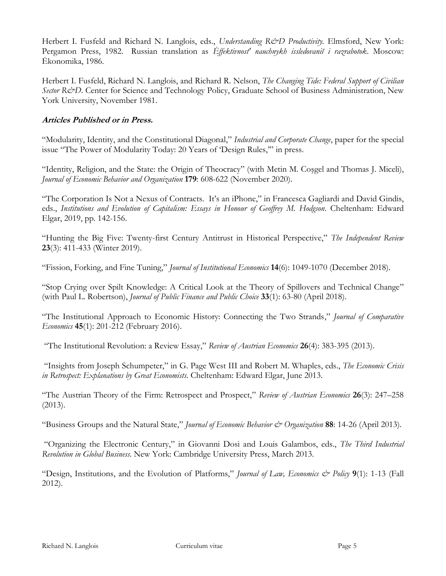Herbert I. Fusfeld and Richard N. Langlois, eds., *Understanding R&D Productivity*. Elmsford, New York: Pergamon Press, 1982. Russian translation as *Ėffektivnost' nauchnykh issledovaniĭ i razrabotok*. Moscow: Ėkonomika, 1986.

Herbert I. Fusfeld, Richard N. Langlois, and Richard R. Nelson, *The Changing Tide: Federal Support of Civilian Sector R&D*. Center for Science and Technology Policy, Graduate School of Business Administration, New York University, November 1981.

## **Articles Published or in Press.**

"Modularity, Identity, and the Constitutional Diagonal," *Industrial and Corporate Change*, paper for the special issue "The Power of Modularity Today: 20 Years of 'Design Rules,'" in press.

"Identity, Religion, and the State: the Origin of Theocracy" (with Metin M. Coşgel and Thomas J. Miceli), *Journal of Economic Behavior and Organization* **179**: 608-622 (November 2020).

"[The Corporation Is Not a Nexus of Contracts.](https://richard-langlois.uconn.edu/wp-content/uploads/sites/1617/2019/09/10-Chapter-10-Langlois.pdf) It's an iPhone," in Francesca Gagliardi and David Gindis, eds., *Institutions and Evolution of Capitalism: Essays in Honour of Geoffrey M. Hodgson*. Cheltenham: Edward Elgar, 2019, pp. 142-156.

"[Hunting the Big Five: Twenty-first Century Antitrust in Historical Perspective](http://www.independent.org/publications/tir/article.asp?id=1350)," *The Independent Review* **23**(3): 411-433 (Winter 2019).

"Fission, Forking, and Fine Tuning," *Journal of Institutional Economics* **14**(6): 1049-1070 (December 2018).

"Stop Crying [over Spilt Knowledge: A Critical Look at the Theory of Spillovers and Technical Change](https://doi.org/10.1332/251569118X15214757059213)" (with Paul L. Robertson), *Journal of Public Finance and Public Choice* **33**(1): 63-80 (April 2018).

"[The Institutional Approach to Economic History: Connecting the Two Strands,](http://dx.doi.org/10.1016/j.jce.2016.04.004)" *Journal of Comparative Economics* **45**(1): 201-212 (February 2016).

"The Institutional Revolution: a Review Essay," *Review of Austrian Economics* **26**(4): 383-395 (2013).

"Insights from Joseph Schumpeter," in G. Page West III and Robert M. Whaples, eds., *The Economic Crisis in Retrospect: Explanations by Great Economists*. Cheltenham: Edward Elgar, June 2013.

"The Austrian Theory of the Firm: Retrospect and Prospect," *Review of Austrian Economics* **26**(3): 247–258 (2013).

"Business Groups and the Natural State," *Journal of Economic Behavior & Organization* **88**: 14-26 (April 2013).

"Organizing the Electronic Century," in Giovanni Dosi and Louis Galambos, eds., *The Third Industrial Revolution in Global Business*. New York: Cambridge University Press, March 2013.

"Design, Institutions, and the Evolution of Platforms," *Journal of Law, Economics & Policy* **9**(1): 1-13 (Fall 2012).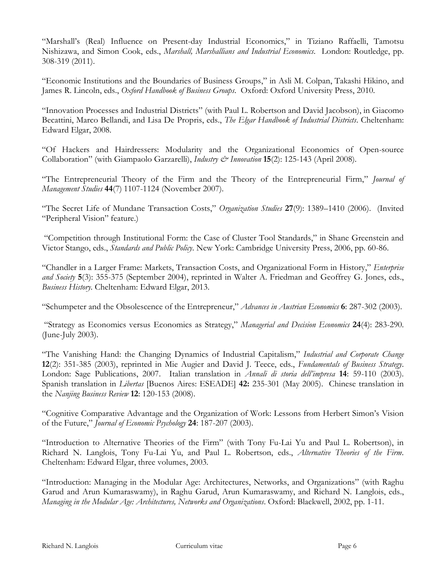"Marshall's (Real) Influence on Present-day Industrial Economics," in Tiziano Raffaelli, Tamotsu Nishizawa, and Simon Cook, eds., *Marshall, Marshallians and Industrial Economics*. London: Routledge, pp. 308-319 (2011).

"Economic Institutions and the Boundaries of Business Groups," in Asli M. Colpan, Takashi Hikino, and James R. Lincoln, eds., *Oxford Handbook of Business Groups*. Oxford: Oxford University Press, 2010.

"Innovation Processes and Industrial Districts" (with Paul L. Robertson and David Jacobson), in Giacomo Becattini, Marco Bellandi, and Lisa De Propris, eds., *The Elgar Handbook of Industrial Districts*. Cheltenham: Edward Elgar, 2008.

"Of Hackers and Hairdressers: Modularity and the Organizational Economics of Open-source Collaboration" (with Giampaolo Garzarelli), *Industry & Innovation* **15**(2): 125-143 (April 2008).

"The Entrepreneurial Theory of the Firm and the Theory of the Entrepreneurial Firm," *Journal of Management Studies* **44**(7) 1107-1124 (November 2007).

"[The Secret Life of Mundane Transaction Costs,](http://ideas.repec.org/p/uct/uconnp/2005-49.html)" *[Organization Studies](http://oss.sagepub.com/)* **27**(9): 1389–1410 (2006). (Invited "Peripheral Vision" feature.)

"[Competition through Institutional Form: the Case of Cluster Tool Standards,](http://ideas.repec.org/p/uct/uconnp/2004-10.html)" in Shane Greenstein and Victor Stango, eds., *Standards and Public Policy*. New York: Cambridge University Press, 2006, pp. 60-86.

"Chandler in a Larger Frame: Markets, Transaction Costs, and Organizational Form in History," *Enterprise*  and Society **5**(3): 355-375 (September 2004), reprinted in Walter A. Friedman and Geoffrey G. Jones, eds., *Business History*. Cheltenham: Edward Elgar, 2013.

"Schumpeter and the Obsolescence of the Entrepreneur," *Advances in Austrian Economics* **6**: 287-302 (2003).

"Strategy as Economics versus Economics as Strategy," *Managerial and Decision Economics* **24**(4): 283-290. (June-July 2003).

"[The Vanishing Hand: the Changing Dynamics of Industrial Capitalism,](http://www.sp.uconn.edu/~langlois/Vanishing.html)" *Industrial and Corporate Change* **12**(2): 351-385 (2003), reprinted in Mie Augier and David J. Teece, eds., *Fundamentals of Business Strategy*. London: Sage Publications, 2007. Italian translation in *Annali di storia dell'impresa* **14**: 59-110 (2003). Spanish translation in *Libertas* [Buenos Aires: ESEADE] **42:** 235-301 (May 2005). Chinese translation in the *Nanjing Business Review* **12**: 120-153 (2008).

"Cognitive Comparative Advantage and the Organization of Work: Lessons from Herbert Simon's Vision of the Future," *Journal of Economic Psychology* **24**: 187-207 (2003).

"Introduction to Alternative Theories of the Firm" (with Tony Fu-Lai Yu and Paul L. Robertson), in Richard N. Langlois, Tony Fu-Lai Yu, and Paul L. Robertson, eds., *Alternative Theories of the Firm*. Cheltenham: Edward Elgar, three volumes, 2003.

"Introduction: Managing in the Modular Age: Architectures, Networks, and Organizations" (with Raghu Garud and Arun Kumaraswamy), in Raghu Garud, Arun Kumaraswamy, and Richard N. Langlois, eds., *Managing in the Modular Age: Architectures, Networks and Organizations*. Oxford: Blackwell, 2002, pp. 1-11.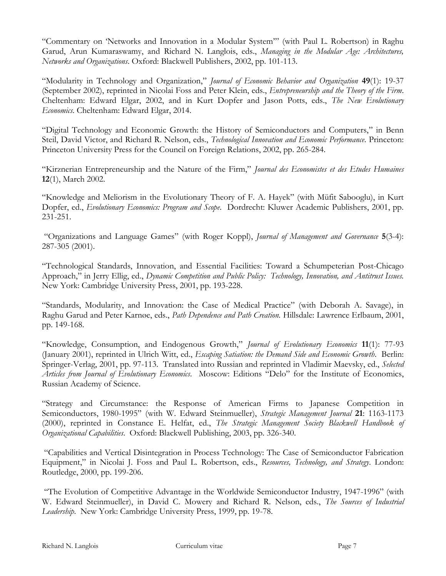"Commentary on 'Networks and Innovation in a Modular System'" (with Paul L. Robertson) in Raghu Garud, Arun Kumaraswamy, and Richard N. Langlois, eds., *Managing in the Modular Age: Architectures, Networks and Organizations*. Oxford: Blackwell Publishers, 2002, pp. 101-113.

"Modularity in Technology and Organization," *Journal of Economic Behavior and Organization* **49**(1): 19-37 (September 2002), reprinted in Nicolai Foss and Peter Klein, eds., *Entrepreneurship and the Theory of the Firm*. Cheltenham: Edward Elgar, 2002, and in Kurt Dopfer and Jason Potts, eds., *The New Evolutionary Economics*. Cheltenham: Edward Elgar, 2014.

"Digital Technology and Economic Growth: the History of Semiconductors and Computers," in Benn Steil, David Victor, and Richard R. Nelson, eds., *Technological Innovation and Economic Performance*. Princeton: Princeton University Press for the Council on Foreign Relations, 2002, pp. 265-284.

"Kirznerian Entrepreneurship and the Nature of the Firm," *Journal des Economistes et des Etudes Humaines* **12**(1), March 2002.

"Knowledge and Meliorism in the Evolutionary Theory of F. A. Hayek" (with Müfit Sabooglu), in Kurt Dopfer, ed., *Evolutionary Economics: Program and Scope*. Dordrecht: Kluwer Academic Publishers, 2001, pp. 231-251.

"[Organizations and Language Games](http://ipsapp009.lwwonline.com/content/getfile/4987/16/3/abstract.htm)" (with Roger Koppl), *Journal of Management and Governance* **5**(3-4): 287-305 (2001).

"Technological Standards, Innovation, and Essential Facilities: Toward a Schumpeterian Post-Chicago Approach," in Jerry Ellig, ed., *Dynamic Competition and Public Policy: Technology, Innovation, and Antitrust Issues.* New York: Cambridge University Press, 2001, pp. 193-228.

"Standards, Modularity, and Innovation: the Case of Medical Practice" (with Deborah A. Savage), in Raghu Garud and Peter Karnøe, eds., *Path Dependence and Path Creation.* Hillsdale: Lawrence Erlbaum, 2001, pp. 149-168.

"Knowledge, Consumption, and Endogenous Growth," *Journal of Evolutionary Economics* **11**(1): 77-93 (January 2001), reprinted in Ulrich Witt, ed., *Escaping Satiation: the Demand Side and Economic Growth*. Berlin: Springer-Verlag, 2001, pp. 97-113. Translated into Russian and reprinted in Vladimir Maevsky, ed., *Selected Articles from Journal of Evolutionary Economics*. Moscow: Editions "Delo" for the Institute of Economics, Russian Academy of Science.

"Strategy and Circumstance: the Response of American Firms to Japanese Competition in Semiconductors, 1980-1995" (with W. Edward Steinmueller), *Strategic Management Journal* **21**: 1163-1173 (2000), reprinted in Constance E. Helfat, ed., *The Strategic Management Society Blackwell Handbook of Organizational Capabilities*. Oxford: Blackwell Publishing, 2003, pp. 326-340.

"Capabilities and Vertical Disintegration in Process Technology: The Case of Semiconductor Fabrication Equipment," in Nicolai J. Foss and Paul L. Robertson, eds., *Resources, Technology, and Strategy*. London: Routledge, 2000, pp. 199-206.

"The Evolution of Competitive Advantage in the Worldwide Semiconductor Industry, 1947-1996" (with W. Edward Steinmueller), in David C. Mowery and Richard R. Nelson, eds., *The Sources of Industrial Leadership*. New York: Cambridge University Press, 1999, pp. 19-78.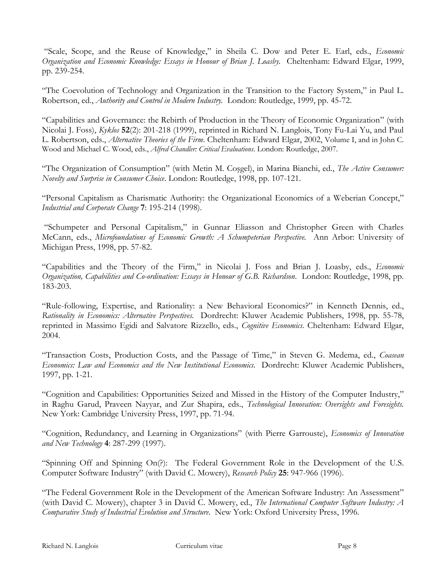"Scale, Scope, and the Reuse of Knowledge," in Sheila C. Dow and Peter E. Earl, eds., *Economic Organization and Economic Knowledge: Essays in Honour of Brian J. Loasby.* Cheltenham: Edward Elgar, 1999, pp. 239-254.

"The Coevolution of Technology and Organization in the Transition to the Factory System," in Paul L. Robertson, ed., *Authority and Control in Modern Industry.* London: Routledge, 1999, pp. 45-72.

"Capabilities and Governance: the Rebirth of Production in the Theory of Economic Organization" (with Nicolai J. Foss), *Kyklos* **52**(2): 201-218 (1999), reprinted in Richard N. Langlois, Tony Fu-Lai Yu, and Paul L. Robertson, eds., *Alternative Theories of the Firm*. Cheltenham: Edward Elgar, 2002, Volume I, and in John C. Wood and Michael C. Wood, eds., *Alfred Chandler: Critical Evaluations*. London: Routledge, 2007.

"The Organization of Consumption" (with Metin M. Coşgel), in Marina Bianchi, ed., *The Active Consumer: Novelty and Surprise in Consumer Choice*. London: Routledge, 1998, pp. 107-121.

"Personal Capitalism as Charismatic Authority: the Organizational Economics of a Weberian Concept," *Industrial and Corporate Change* **7**: 195-214 (1998).

"Schumpeter and Personal Capitalism," in Gunnar Eliasson and Christopher Green with Charles McCann, eds., *Microfoundations of Economic Growth: A Schumpeterian Perspective.* Ann Arbor: University of Michigan Press, 1998, pp. 57-82.

"Capabilities and the Theory of the Firm," in Nicolai J. Foss and Brian J. Loasby, eds., *Economic Organization, Capabilities and Co-ordination: Essays in Honour of G.B. Richardson*. London: Routledge, 1998, pp. 183-203.

"Rule-following, Expertise, and Rationality: a New Behavioral Economics?" in Kenneth Dennis, ed., *Rationality in Economics: Alternative Perspectives.* Dordrecht: Kluwer Academic Publishers, 1998, pp. 55-78, reprinted in Massimo Egidi and Salvatore Rizzello, eds., *Cognitive Economics*. Cheltenham: Edward Elgar, 2004.

"Transaction Costs, Production Costs, and the Passage of Time," in Steven G. Medema, ed., *Coasean Economics: Law and Economics and the New Institutional Economics.* Dordrecht: Kluwer Academic Publishers, 1997, pp. 1-21.

"Cognition and Capabilities: Opportunities Seized and Missed in the History of the Computer Industry," in Raghu Garud, Praveen Nayyar, and Zur Shapira, eds., *Technological Innovation: Oversights and Foresights.* New York: Cambridge University Press, 1997, pp. 71-94.

"Cognition, Redundancy, and Learning in Organizations" (with Pierre Garrouste), *Economics of Innovation and New Technology* **4**: 287-299 (1997).

"Spinning Off and Spinning On(?): The Federal Government Role in the Development of the U.S. Computer Software Industry" (with David C. Mowery), *Research Policy* **25**: 947-966 (1996).

"The Federal Government Role in the Development of the American Software Industry: An Assessment" (with David C. Mowery), chapter 3 in David C. Mowery, ed., *The International Computer Software Industry: A Comparative Study of Industrial Evolution and Structure*. New York: Oxford University Press, 1996.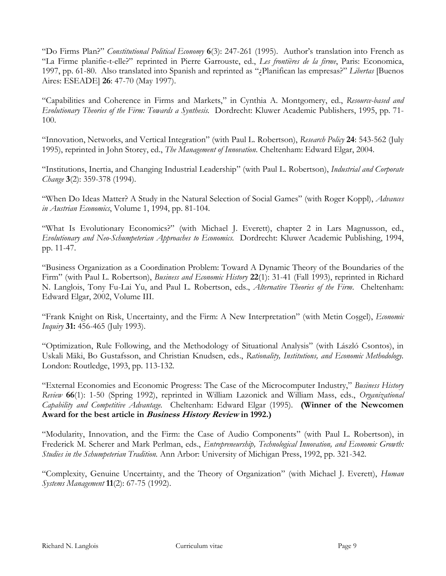"Do Firms Plan?" *Constitutional Political Economy* **6**(3): 247-261 (1995). Author's translation into French as "La Firme planifie-t-elle?" reprinted in Pierre Garrouste, ed., *Les frontières de la firme*, Paris: Economica, 1997, pp. 61-80. Also translated into Spanish and reprinted as "¿Planifican las empresas?" *Libertas* [Buenos Aires: ESEADE] **26**: 47-70 (May 1997).

"Capabilities and Coherence in Firms and Markets," in Cynthia A. Montgomery, ed., *Resource-based and Evolutionary Theories of the Firm: Towards a Synthesis.* Dordrecht: Kluwer Academic Publishers, 1995, pp. 71- 100.

"Innovation, Networks, and Vertical Integration" (with Paul L. Robertson), *Research Policy* **24**: 543-562 (July 1995), reprinted in John Storey, ed., *The Management of Innovation*. Cheltenham: Edward Elgar, 2004.

"Institutions, Inertia, and Changing Industrial Leadership" (with Paul L. Robertson), *Industrial and Corporate Change* **3**(2): 359-378 (1994).

"When Do Ideas Matter? A Study in the Natural Selection of Social Games" (with Roger Koppl), *Advances in Austrian Economics*, Volume 1, 1994, pp. 81-104.

"What Is Evolutionary Economics?" (with Michael J. Everett), chapter 2 in Lars Magnusson, ed., *Evolutionary and Neo-Schumpeterian Approaches to Economics.* Dordrecht: Kluwer Academic Publishing, 1994, pp. 11-47.

"Business Organization as a Coordination Problem: Toward A Dynamic Theory of the Boundaries of the Firm" (with Paul L. Robertson), *Business and Economic History* 22(1): 31-41 (Fall 1993), reprinted in Richard N. Langlois, Tony Fu-Lai Yu, and Paul L. Robertson, eds., *Alternative Theories of the Firm*. Cheltenham: Edward Elgar, 2002, Volume III.

"Frank Knight on Risk, Uncertainty, and the Firm: A New Interpretation" (with Metin Coşgel), *Economic Inquiry* **31:** 456-465 (July 1993).

"Optimization, Rule Following, and the Methodology of Situational Analysis" (with László Csontos), in Uskali Mäki, Bo Gustafsson, and Christian Knudsen, eds., *Rationality, Institutions, and Economic Methodology.* London: Routledge, 1993, pp. 113-132.

"External Economies and Economic Progress: The Case of the Microcomputer Industry," *Business History Review* **66**(1): 1-50 (Spring 1992), reprinted in William Lazonick and William Mass, eds., *Organizational Capability and Competitive Advantage.* Cheltenham: Edward Elgar (1995). **(Winner of the Newcomen Award for the best article in Business History Review in 1992.)**

"Modularity, Innovation, and the Firm: the Case of Audio Components" (with Paul L. Robertson), in Frederick M. Scherer and Mark Perlman, eds., *Entrepreneurship, Technological Innovation, and Economic Growth: Studies in the Schumpeterian Tradition.* Ann Arbor: University of Michigan Press, 1992, pp. 321-342.

"Complexity, Genuine Uncertainty, and the Theory of Organization" (with Michael J. Everett), *Human Systems Management* **11**(2): 67-75 (1992).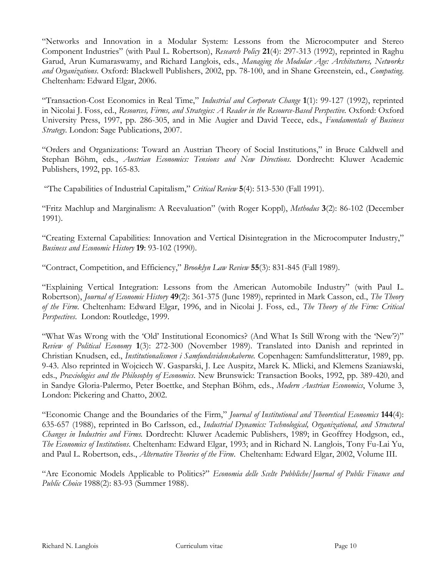"Networks and Innovation in a Modular System: Lessons from the Microcomputer and Stereo Component Industries" (with Paul L. Robertson), *Research Policy* **21**(4): 297-313 (1992), reprinted in Raghu Garud, Arun Kumaraswamy, and Richard Langlois, eds., *Managing the Modular Age: Architectures, Networks and Organizations*. Oxford: Blackwell Publishers, 2002, pp. 78-100, and in Shane Greenstein, ed., *Computing*. Cheltenham: Edward Elgar, 2006.

"Transaction-Cost Economics in Real Time," *Industrial and Corporate Change* **1**(1): 99-127 (1992), reprinted in Nicolai J. Foss, ed., *Resources, Firms, and Strategies: A Reader in the Resource-Based Perspective.* Oxford: Oxford University Press, 1997, pp. 286-305, and in Mie Augier and David Teece, eds., *Fundamentals of Business Strategy*. London: Sage Publications, 2007.

"Orders and Organizations: Toward an Austrian Theory of Social Institutions," in Bruce Caldwell and Stephan Böhm, eds., *Austrian Economics: Tensions and New Directions.* Dordrecht: Kluwer Academic Publishers, 1992, pp. 165-83.

"The Capabilities of Industrial Capitalism," *Critical Review* **5**(4): 513-530 (Fall 1991).

"Fritz Machlup and Marginalism: A Reevaluation" (with Roger Koppl), *Methodus* **3**(2): 86-102 (December 1991).

"Creating External Capabilities: Innovation and Vertical Disintegration in the Microcomputer Industry," *Business and Economic History* **19**: 93-102 (1990).

"Contract, Competition, and Efficiency," *Brooklyn Law Review* **55**(3): 831-845 (Fall 1989).

"Explaining Vertical Integration: Lessons from the American Automobile Industry" (with Paul L. Robertson), *Journal of Economic History* **49**(2): 361-375 (June 1989), reprinted in Mark Casson, ed., *The Theory of the Firm*. Cheltenham: Edward Elgar, 1996, and in Nicolai J. Foss, ed., *The Theory of the Firm: Critical Perspectives*. London: Routledge, 1999.

"What Was Wrong with the 'Old' Institutional Economics? (And What Is Still Wrong with the 'New'?)" *Review of Political Economy* **1**(3): 272-300 (November 1989). Translated into Danish and reprinted in Christian Knudsen, ed., *Institutionalismen i Samfundsvidenskaberne.* Copenhagen: Samfundslitteratur, 1989, pp. 9-43. Also reprinted in Wojciech W. Gasparski, J. Lee Auspitz, Marek K. Mlicki, and Klemens Szaniawski, eds., *Praxiologies and the Philosophy of Economics*. New Brunswick: Transaction Books, 1992, pp. 389-420, and in Sandye Gloria-Palermo, Peter Boettke, and Stephan Böhm, eds., *Modern Austrian Economics*, Volume 3, London: Pickering and Chatto, 2002.

"Economic Change and the Boundaries of the Firm," *Journal of Institutional and Theoretical Economics* **144**(4): 635-657 (1988), reprinted in Bo Carlsson, ed., *Industrial Dynamics: Technological, Organizational, and Structural Changes in Industries and Firms.* Dordrecht: Kluwer Academic Publishers, 1989; in Geoffrey Hodgson, ed., *The Economics of Institutions*. Cheltenham: Edward Elgar, 1993; and in Richard N. Langlois, Tony Fu-Lai Yu, and Paul L. Robertson, eds., *Alternative Theories of the Firm*. Cheltenham: Edward Elgar, 2002, Volume III.

"Are Economic Models Applicable to Politics?" *Economia delle Scelte Pubbliche/Journal of Public Finance and Public Choice* 1988(2): 83-93 (Summer 1988).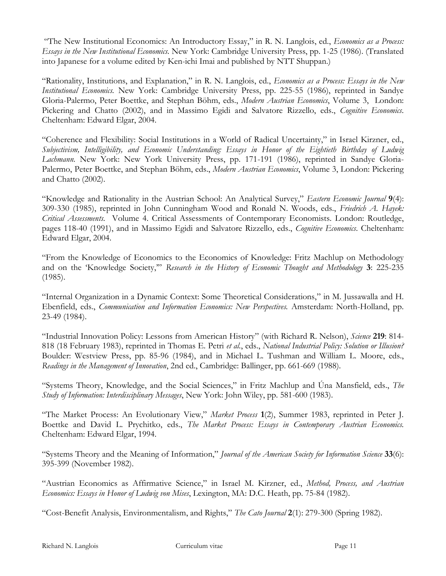"The New Institutional Economics: An Introductory Essay," in R. N. Langlois, ed., *Economics as a Process: Essays in the New Institutional Economics.* New York: Cambridge University Press, pp. 1-25 (1986). (Translated into Japanese for a volume edited by Ken-ichi Imai and published by NTT Shuppan.)

"Rationality, Institutions, and Explanation," in R. N. Langlois, ed., *Economics as a Process: Essays in the New Institutional Economics.* New York: Cambridge University Press, pp. 225-55 (1986), reprinted in Sandye Gloria-Palermo, Peter Boettke, and Stephan Böhm, eds., *Modern Austrian Economics*, Volume 3, London: Pickering and Chatto (2002), and in Massimo Egidi and Salvatore Rizzello, eds., *Cognitive Economics*. Cheltenham: Edward Elgar, 2004.

"Coherence and Flexibility: Social Institutions in a World of Radical Uncertainty," in Israel Kirzner, ed., *Subjectivism, Intelligibility, and Economic Understanding: Essays in Honor of the Eightieth Birthday of Ludwig*  Lachmann. New York: New York University Press, pp. 171-191 (1986), reprinted in Sandye Gloria-Palermo, Peter Boettke, and Stephan Böhm, eds., *Modern Austrian Economics*, Volume 3, London: Pickering and Chatto (2002).

"Knowledge and Rationality in the Austrian School: An Analytical Survey," *Eastern Economic Journal* **9**(4): 309-330 (1985), reprinted in John Cunningham Wood and Ronald N. Woods, eds., *Friedrich A. Hayek: Critical Assessments.* Volume 4. Critical Assessments of Contemporary Economists. London: Routledge, pages 118-40 (1991), and in Massimo Egidi and Salvatore Rizzello, eds., *Cognitive Economics*. Cheltenham: Edward Elgar, 2004.

"From the Knowledge of Economics to the Economics of Knowledge: Fritz Machlup on Methodology and on the 'Knowledge Society,'" *Research in the History of Economic Thought and Methodology* **3**: 225-235 (1985).

"Internal Organization in a Dynamic Context: Some Theoretical Considerations," in M. Jussawalla and H. Ebenfield, eds., *Communication and Information Economics: New Perspectives.* Amsterdam: North-Holland, pp. 23-49 (1984).

"Industrial Innovation Policy: Lessons from American History" (with Richard R. Nelson), *Science* **219**: 814- 818 (18 February 1983), reprinted in Thomas E. Petri *et al.*, eds., *National Industrial Policy: Solution or Illusion?* Boulder: Westview Press, pp. 85-96 (1984), and in Michael L. Tushman and William L. Moore, eds., *Readings in the Management of Innovation*, 2nd ed., Cambridge: Ballinger, pp. 661-669 (1988).

"Systems Theory, Knowledge, and the Social Sciences," in Fritz Machlup and Úna Mansfield, eds., *The Study of Information: Interdisciplinary Messages*, New York: John Wiley, pp. 581-600 (1983).

"The Market Process: An Evolutionary View," *Market Process* **1**(2), Summer 1983, reprinted in Peter J. Boettke and David L. Prychitko, eds., *The Market Process: Essays in Contemporary Austrian Economics.* Cheltenham: Edward Elgar, 1994.

"Systems Theory and the Meaning of Information," *Journal of the American Society for Information Science* **33**(6): 395-399 (November 1982).

"Austrian Economics as Affirmative Science," in Israel M. Kirzner, ed., *Method, Process, and Austrian Economics: Essays in Honor of Ludwig von Mises*, Lexington, MA: D.C. Heath, pp. 75-84 (1982).

"Cost-Benefit Analysis, Environmentalism, and Rights," *The Cato Journal* **2**(1): 279-300 (Spring 1982).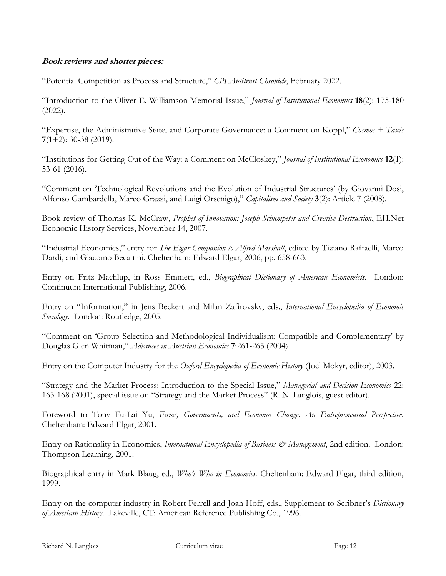## **Book reviews and shorter pieces:**

"Potential Competition as Process and Structure," *CPI Antitrust Chronicle*, February 2022.

"Introduction to the Oliver E. Williamson Memorial Issue," *Journal of Institutional Economics* **18**(2): 175-180 (2022).

"Expertise, the Administrative State, and Corporate Governance: a Comment on Koppl," *Cosmos + Taxis* **7**(1+2): 30-38 (2019).

"Institutions for Getting Out of the Way: a Comment on McCloskey," *Journal of Institutional Economics* **12**(1): 53-61 (2016).

"Comment on '[Technological Revolutions and the Evolution of Industrial Structures](http://www.bepress.com/cas/vol3/iss2/art7)' (by Giovanni Dosi, Alfonso Gambardella, [Marco Grazzi, and Luigi Orsenigo\),](http://www.bepress.com/cas/vol3/iss2/art7)" *Capitalism and Society* **3**(2): Article 7 (2008).

Book review of Thomas K. McCraw*, Prophet of Innovation: Joseph Schumpeter and Creative Destruction*, EH.Net Economic History Services, November 14, 2007.

"Industrial Economics," entry for *The Elgar Companion to Alfred Marshall*, edited by Tiziano Raffaelli, Marco Dardi, and Giacomo Becattini. Cheltenham: Edward Elgar, 2006, pp. 658-663.

Entry on Fritz Machlup, in Ross Emmett, ed., *Biographical Dictionary of American Economists*. London: Continuum International Publishing, 2006.

Entry on "Information," in Jens Beckert and Milan Zafirovsky, eds., *International Encyclopedia of Economic Sociology*. London: Routledge, 2005.

"Comment on 'Group Selection and Methodological Individualism: Compatible and Complementary' by Douglas Glen Whitman," *Advances in Austrian Economics* **7**:261-265 (2004)

Entry on the Computer Industry for the *Oxford Encyclopedia of Economic History* (Joel Mokyr, editor), 2003.

"Strategy and the Market Process: Introduction to the Special Issue," *Managerial and Decision Economics* 22: 163-168 (2001), special issue on "[Strategy and the Market Process](http://www.sp.uconn.edu/~langlois/MDE.html)" (R. N. Langlois, guest editor).

Foreword to Tony Fu-Lai Yu, *Firms, Governments, and Economic Change: An Entrepreneurial Perspective*. Cheltenham: Edward Elgar, 2001.

Entry on Rationality in Economics, *International Encyclopedia of Business & Management*, 2nd edition. London: Thompson Learning, 2001.

Biographical entry in Mark Blaug, ed., *Who's Who in Economics.* Cheltenham: Edward Elgar, third edition, 1999.

Entry on the computer industry in Robert Ferrell and Joan Hoff, eds., Supplement to Scribner's *Dictionary of American History*. Lakeville, CT: American Reference Publishing Co., 1996.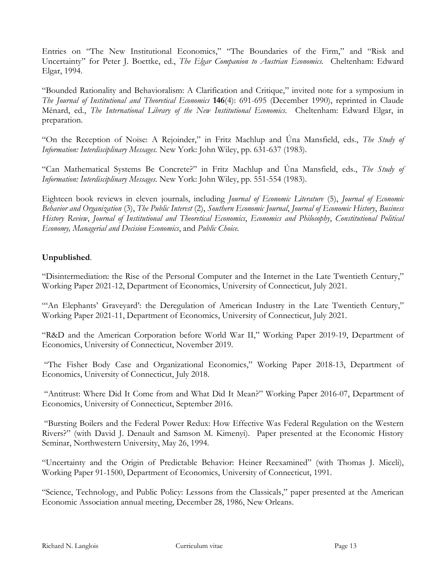Entries on "The New Institutional Economics," "The Boundaries of the Firm," and "Risk and Uncertainty" for Peter J. Boettke, ed., *The Elgar Companion to Austrian Economics.* Cheltenham: Edward Elgar, 1994.

"Bounded Rationality and Behavioralism: A Clarification and Critique," invited note for a symposium in *The Journal of Institutional and Theoretical Economics* 146(4): 691-695 (December 1990), reprinted in Claude Ménard, ed., *The International Library of the New Institutional Economics*. Cheltenham: Edward Elgar, in preparation.

"On the Reception of Noise: A Rejoinder," in Fritz Machlup and Úna Mansfield, eds., *The Study of Information: Interdisciplinary Messages.* New York: John Wiley, pp. 631-637 (1983).

"Can Mathematical Systems Be Concrete?" in Fritz Machlup and Úna Mansfield, eds., *The Study of Information: Interdisciplinary Messages.* New York: John Wiley, pp. 551-554 (1983).

Eighteen book reviews in eleven journals, including *Journal of Economic Literature* (5), *Journal of Economic Behavior and Organization* (3), *The Public Interest* (2), *Southern Economic Journal*, *Journal of Economic History*, *Business History Review*, *Journal of Institutional and Theoretical Economics*, *Economics and Philosophy*, *Constitutional Political Economy, Managerial and Decision Economics*, and *Public Choice.*

## **Unpublished**.

"[Disintermediation: the Rise of the Personal Computer and the Internet in the Late Twentieth Century,](https://ideas.repec.org/p/uct/uconnp/2021-12.html)" Working Paper 2021-12, Department of Economics, University of Connecticut, July 2021.

"'An Elephants' Graveyard'[: the Deregulation of American Industry in the Late Twentieth Century,](https://ideas.repec.org/p/uct/uconnp/2021-11.html)" Working Paper 2021-11, Department of Economics, University of Connecticut, July 2021.

"[R&D and the American Corporation before World War II](https://ideas.repec.org/p/uct/uconnp/2019-19.html)," Working Paper 2019-19, Department of Economics, University of Connecticut, November 2019.

"The [Fisher Body Case and Organizational Economics](https://ideas.repec.org/p/uct/uconnp/2018-13.html)," Working Paper 2018-13, Department of Economics, University of Connecticut, July 2018.

"[Antitrust: Where Did It Come from and What Did It Mean](https://ideas.repec.org/p/uct/uconnp/2016-07.html)?" Working Paper 2016-07, Department of Economics, University of Connecticut, September 2016.

"Bursting Boilers and the Federal Power Redux: How Effective Was Federal Regulation on the Western Rivers?" (with David J. Denault and Samson M. Kimenyi). Paper presented at the Economic History Seminar, Northwestern University, May 26, 1994.

"Uncertainty and the Origin of Predictable Behavior: Heiner Reexamined" (with Thomas J. Miceli), Working Paper 91-1500, Department of Economics, University of Connecticut, 1991.

"[Science, Technology, and Public Policy: Lessons from the Classicals](https://richard-langlois.uconn.edu/wp-content/uploads/sites/1617/2016/10/classicals.pdf)," paper presented at the American Economic Association annual meeting, December 28, 1986, New Orleans.